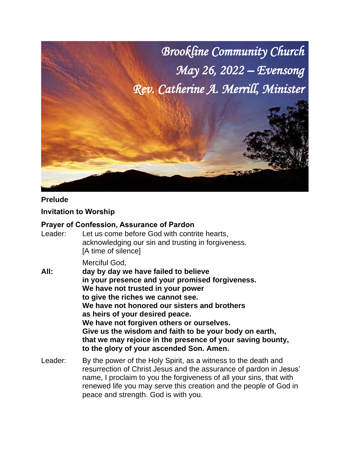

#### **Prelude**

## **Invitation to Worship**

#### **Prayer of Confession, Assurance of Pardon**

Leader: Let us come before God with contrite hearts, acknowledging our sin and trusting in forgiveness. [A time of silence]

#### Merciful God,

- **All: day by day we have failed to believe in your presence and your promised forgiveness. We have not trusted in your power to give the riches we cannot see. We have not honored our sisters and brothers as heirs of your desired peace. We have not forgiven others or ourselves. Give us the wisdom and faith to be your body on earth, that we may rejoice in the presence of your saving bounty, to the glory of your ascended Son. Amen.**
- Leader: By the power of the Holy Spirit, as a witness to the death and resurrection of Christ Jesus and the assurance of pardon in Jesus' name, I proclaim to you the forgiveness of all your sins, that with renewed life you may serve this creation and the people of God in peace and strength. God is with you.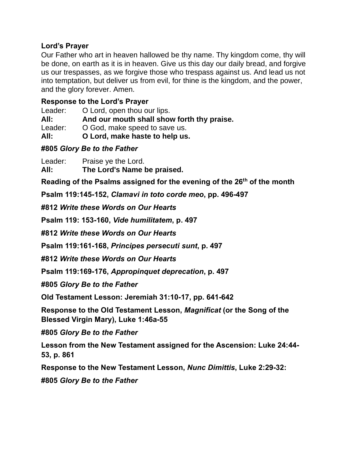# **Lord's Prayer**

Our Father who art in heaven hallowed be thy name. Thy kingdom come, thy will be done, on earth as it is in heaven. Give us this day our daily bread, and forgive us our trespasses, as we forgive those who trespass against us. And lead us not into temptation, but deliver us from evil, for thine is the kingdom, and the power, and the glory forever. Amen.

# **Response to the Lord's Prayer**

Leader: O Lord, open thou our lips.

**All: And our mouth shall show forth thy praise.**

Leader: O God, make speed to save us.

**All: O Lord, make haste to help us.**

## **#805** *Glory Be to the Father*

Leader: Praise ye the Lord. **All: The Lord's Name be praised.**

**Reading of the Psalms assigned for the evening of the 26th of the month**

**Psalm 119:145-152,** *Clamavi in toto corde meo***, pp. 496-497**

**#812** *Write these Words on Our Hearts*

**Psalm 119: 153-160,** *Vide humilitatem***, p. 497**

**#812** *Write these Words on Our Hearts*

**Psalm 119:161-168,** *Principes persecuti sunt***, p. 497**

**#812** *Write these Words on Our Hearts*

**Psalm 119:169-176,** *Appropinquet deprecation***, p. 497**

**#805** *Glory Be to the Father*

**Old Testament Lesson: Jeremiah 31:10-17, pp. 641-642**

**Response to the Old Testament Lesson,** *Magnificat* **(or the Song of the Blessed Virgin Mary), Luke 1:46a-55**

**#805** *Glory Be to the Father*

**Lesson from the New Testament assigned for the Ascension: Luke 24:44- 53, p. 861**

**Response to the New Testament Lesson,** *Nunc Dimittis***, Luke 2:29-32:**

**#805** *Glory Be to the Father*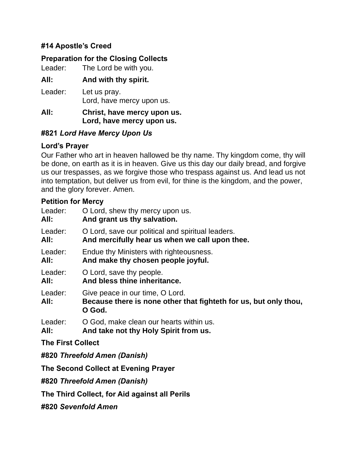# **#14 Apostle's Creed**

# **Preparation for the Closing Collects**

Leader: The Lord be with you.

# **All: And with thy spirit.**

Leader: Let us pray. Lord, have mercy upon us.

#### **All: Christ, have mercy upon us. Lord, have mercy upon us.**

# **#821** *Lord Have Mercy Upon Us*

## **Lord's Prayer**

Our Father who art in heaven hallowed be thy name. Thy kingdom come, thy will be done, on earth as it is in heaven. Give us this day our daily bread, and forgive us our trespasses, as we forgive those who trespass against us. And lead us not into temptation, but deliver us from evil, for thine is the kingdom, and the power, and the glory forever. Amen.

## **Petition for Mercy**

| Leader:                  | O Lord, shew thy mercy upon us.                                                                               |  |  |
|--------------------------|---------------------------------------------------------------------------------------------------------------|--|--|
| All:                     | And grant us thy salvation.                                                                                   |  |  |
| Leader:                  | O Lord, save our political and spiritual leaders.                                                             |  |  |
| All:                     | And mercifully hear us when we call upon thee.                                                                |  |  |
| Leader:                  | Endue thy Ministers with righteousness.                                                                       |  |  |
| All:                     | And make thy chosen people joyful.                                                                            |  |  |
| Leader:                  | O Lord, save thy people.                                                                                      |  |  |
| All:                     | And bless thine inheritance.                                                                                  |  |  |
| Leader:<br>All:          | Give peace in our time, O Lord.<br>Because there is none other that fighteth for us, but only thou,<br>O God. |  |  |
| Leader:                  | O God, make clean our hearts within us.                                                                       |  |  |
| All:                     | And take not thy Holy Spirit from us.                                                                         |  |  |
| <b>The First Collect</b> |                                                                                                               |  |  |
|                          | #820 Threefold Amen (Danish)                                                                                  |  |  |
|                          | The Second Collect at Evening Prayer                                                                          |  |  |
|                          | #820 Threefold Amen (Danish)                                                                                  |  |  |

**The Third Collect, for Aid against all Perils**

**#820** *Sevenfold Amen*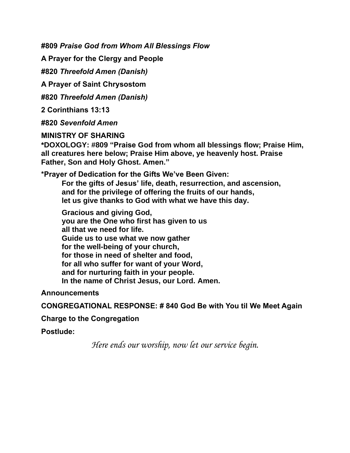**#809** *Praise God from Whom All Blessings Flow*

**A Prayer for the Clergy and People**

**#820** *Threefold Amen (Danish)*

**A Prayer of Saint Chrysostom**

**#820** *Threefold Amen (Danish)*

**2 Corinthians 13:13**

**#820** *Sevenfold Amen*

#### **MINISTRY OF SHARING**

**\*DOXOLOGY: #809 "Praise God from whom all blessings flow; Praise Him, all creatures here below; Praise Him above, ye heavenly host. Praise Father, Son and Holy Ghost. Amen."**

**\*Prayer of Dedication for the Gifts We've Been Given:**

**For the gifts of Jesus' life, death, resurrection, and ascension, and for the privilege of offering the fruits of our hands, let us give thanks to God with what we have this day.**

**Gracious and giving God, you are the One who first has given to us all that we need for life. Guide us to use what we now gather for the well-being of your church, for those in need of shelter and food, for all who suffer for want of your Word, and for nurturing faith in your people. In the name of Christ Jesus, our Lord. Amen.**

**Announcements**

**CONGREGATIONAL RESPONSE: # 840 God Be with You til We Meet Again**

#### **Charge to the Congregation**

**Postlude:**

*Here ends our worship, now let our service begin.*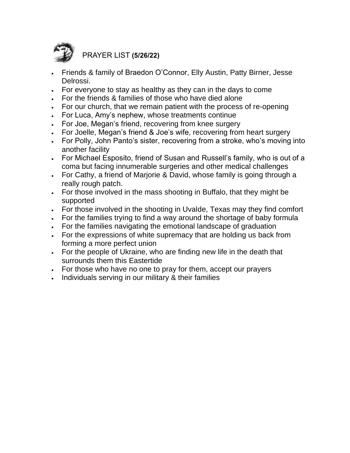

PRAYER LIST **(5/26/22)**

- Friends & family of Braedon O'Connor, Elly Austin, Patty Birner, Jesse Delrossi.
- For everyone to stay as healthy as they can in the days to come
- For the friends & families of those who have died alone
- For our church, that we remain patient with the process of re-opening
- For Luca, Amy's nephew, whose treatments continue
- For Joe, Megan's friend, recovering from knee surgery
- For Joelle, Megan's friend & Joe's wife, recovering from heart surgery
- For Polly, John Panto's sister, recovering from a stroke, who's moving into another facility
- For Michael Esposito, friend of Susan and Russell's family, who is out of a coma but facing innumerable surgeries and other medical challenges
- For Cathy, a friend of Marjorie & David, whose family is going through a really rough patch.
- For those involved in the mass shooting in Buffalo, that they might be supported
- For those involved in the shooting in Uvalde, Texas may they find comfort
- For the families trying to find a way around the shortage of baby formula
- For the families navigating the emotional landscape of graduation
- For the expressions of white supremacy that are holding us back from forming a more perfect union
- For the people of Ukraine, who are finding new life in the death that surrounds them this Eastertide
- For those who have no one to pray for them, accept our prayers
- Individuals serving in our military & their families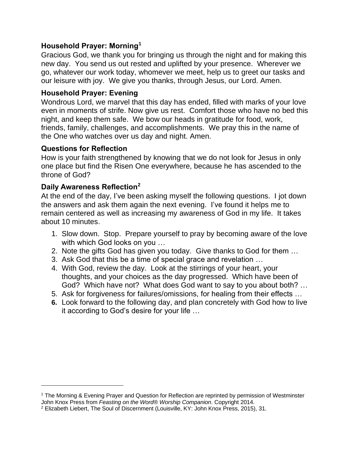# **Household Prayer: Morning<sup>1</sup>**

Gracious God, we thank you for bringing us through the night and for making this new day. You send us out rested and uplifted by your presence. Wherever we go, whatever our work today, whomever we meet, help us to greet our tasks and our leisure with joy. We give you thanks, through Jesus, our Lord. Amen.

## **Household Prayer: Evening**

Wondrous Lord, we marvel that this day has ended, filled with marks of your love even in moments of strife. Now give us rest. Comfort those who have no bed this night, and keep them safe. We bow our heads in gratitude for food, work, friends, family, challenges, and accomplishments. We pray this in the name of the One who watches over us day and night. Amen.

## **Questions for Reflection**

How is your faith strengthened by knowing that we do not look for Jesus in only one place but find the Risen One everywhere, because he has ascended to the throne of God?

## **Daily Awareness Reflection<sup>2</sup>**

At the end of the day, I've been asking myself the following questions. I jot down the answers and ask them again the next evening. I've found it helps me to remain centered as well as increasing my awareness of God in my life. It takes about 10 minutes.

- 1. Slow down. Stop. Prepare yourself to pray by becoming aware of the love with which God looks on you …
- 2. Note the gifts God has given you today. Give thanks to God for them …
- 3. Ask God that this be a time of special grace and revelation …
- 4. With God, review the day. Look at the stirrings of your heart, your thoughts, and your choices as the day progressed. Which have been of God? Which have not? What does God want to say to you about both? …
- 5. Ask for forgiveness for failures/omissions, for healing from their effects …
- **6.** Look forward to the following day, and plan concretely with God how to live it according to God's desire for your life …

<sup>1</sup> The Morning & Evening Prayer and Question for Reflection are reprinted by permission of Westminster John Knox Press from *Feasting on the Word*® *Worship Companion*. Copyright 2014.

<sup>2</sup> Elizabeth Liebert, The Soul of Discernment (Louisville, KY: John Knox Press, 2015), 31.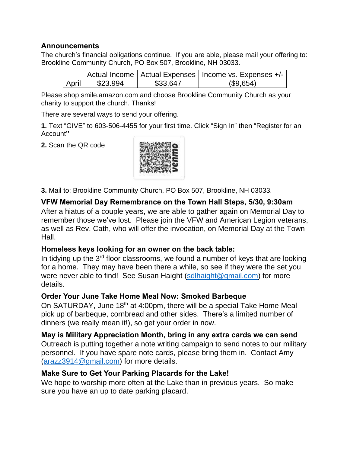## **Announcements**

The church's financial obligations continue. If you are able, please mail your offering to: Brookline Community Church, PO Box 507, Brookline, NH 03033.

|       |          |          | Actual Income   Actual Expenses   Income vs. Expenses +/- |
|-------|----------|----------|-----------------------------------------------------------|
| April | \$23.994 | \$33.647 | (\$9,654)                                                 |

Please shop smile.amazon.com and choose Brookline Community Church as your charity to support the church. Thanks!

There are several ways to send your offering.

**1.** Text "GIVE" to 603-506-4455 for your first time. Click "Sign In" then "Register for an Account**"**

**2.** Scan the QR code



**3.** Mail to: Brookline Community Church, PO Box 507, Brookline, NH 03033.

# **VFW Memorial Day Remembrance on the Town Hall Steps, 5/30, 9:30am**

After a hiatus of a couple years, we are able to gather again on Memorial Day to remember those we've lost. Please join the VFW and American Legion veterans, as well as Rev. Cath, who will offer the invocation, on Memorial Day at the Town Hall.

# **Homeless keys looking for an owner on the back table:**

In tidying up the 3<sup>rd</sup> floor classrooms, we found a number of keys that are looking for a home. They may have been there a while, so see if they were the set you were never able to find! See Susan Haight [\(sdlhaight@gmail.com\)](mailto:sdlhaight@gmail.com) for more details.

# **Order Your June Take Home Meal Now: Smoked Barbeque**

On SATURDAY, June 18<sup>th</sup> at 4:00pm, there will be a special Take Home Meal pick up of barbeque, cornbread and other sides. There's a limited number of dinners (we really mean it!), so get your order in now.

# **May is Military Appreciation Month, bring in any extra cards we can send**

Outreach is putting together a note writing campaign to send notes to our military personnel. If you have spare note cards, please bring them in. Contact Amy [\(arazz3914@gmail.com\)](mailto:arazz3914@gmail.com) for more details.

# **Make Sure to Get Your Parking Placards for the Lake!**

We hope to worship more often at the Lake than in previous years. So make sure you have an up to date parking placard.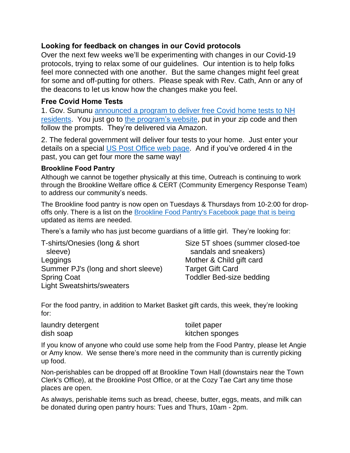## **Looking for feedback on changes in our Covid protocols**

Over the next few weeks we'll be experimenting with changes in our Covid-19 protocols, trying to relax some of our guidelines. Our intention is to help folks feel more connected with one another. But the same changes might feel great for some and off-putting for others. Please speak with Rev. Cath, Ann or any of the deacons to let us know how the changes make you feel.

## **Free Covid Home Tests**

1. Gov. Sununu [announced](https://www.governor.nh.gov/news-and-media/free-home-rapid-covid-19-tests-now-available-new-hampshire-residents) a program to deliver free Covid home tests to NH [residents.](https://www.governor.nh.gov/news-and-media/free-home-rapid-covid-19-tests-now-available-new-hampshire-residents) You just go to the [program's](https://sayyescovidhometest.org/) website, put in your zip code and then follow the prompts. They're delivered via Amazon.

2. The federal government will deliver four tests to your home. Just enter your details on a special US Post [Office](https://special.usps.com/testkits) web page. And if you've ordered 4 in the past, you can get four more the same way!

#### **Brookline Food Pantry**

Although we cannot be together physically at this time, Outreach is continuing to work through the Brookline Welfare office & CERT (Community Emergency Response Team) to address our community's needs.

The Brookline food pantry is now open on Tuesdays & Thursdays from 10-2:00 for dropoffs only. There is a list on the Brookline Food Pantry's [Facebook](https://www.facebook.com/BrooklineFP/) page that is being updated as items are needed.

There's a family who has just become guardians of a little girl. They're looking for:

T-shirts/Onesies (long & short sleeve) Leggings Summer PJ's (long and short sleeve) Spring Coat Light Sweatshirts/sweaters

Size 5T shoes (summer closed-toe sandals and sneakers) Mother & Child gift card Target Gift Card Toddler Bed-size bedding

For the food pantry, in addition to Market Basket gift cards, this week, they're looking for:

laundry detergent dish soap

toilet paper kitchen sponges

If you know of anyone who could use some help from the Food Pantry, please let Angie or Amy know. We sense there's more need in the community than is currently picking up food.

Non-perishables can be dropped off at Brookline Town Hall (downstairs near the Town Clerk's Office), at the Brookline Post Office, or at the Cozy Tae Cart any time those places are open.

As always, perishable items such as bread, cheese, butter, eggs, meats, and milk can be donated during open pantry hours: Tues and Thurs, 10am - 2pm.